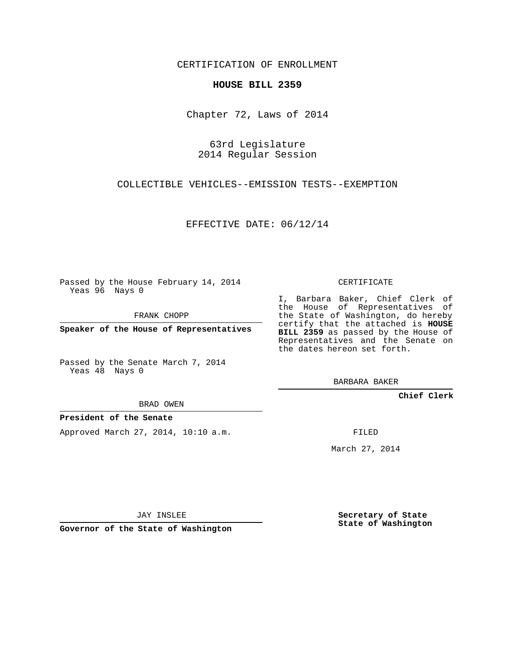CERTIFICATION OF ENROLLMENT

## **HOUSE BILL 2359**

Chapter 72, Laws of 2014

63rd Legislature 2014 Regular Session

COLLECTIBLE VEHICLES--EMISSION TESTS--EXEMPTION

EFFECTIVE DATE: 06/12/14

Passed by the House February 14, 2014 Yeas 96 Nays 0

FRANK CHOPP

**Speaker of the House of Representatives**

Passed by the Senate March 7, 2014 Yeas 48 Nays 0

BRAD OWEN

## **President of the Senate**

Approved March 27, 2014, 10:10 a.m.

CERTIFICATE

I, Barbara Baker, Chief Clerk of the House of Representatives of the State of Washington, do hereby certify that the attached is **HOUSE BILL 2359** as passed by the House of Representatives and the Senate on the dates hereon set forth.

BARBARA BAKER

**Chief Clerk**

FILED

March 27, 2014

JAY INSLEE

**Governor of the State of Washington**

**Secretary of State State of Washington**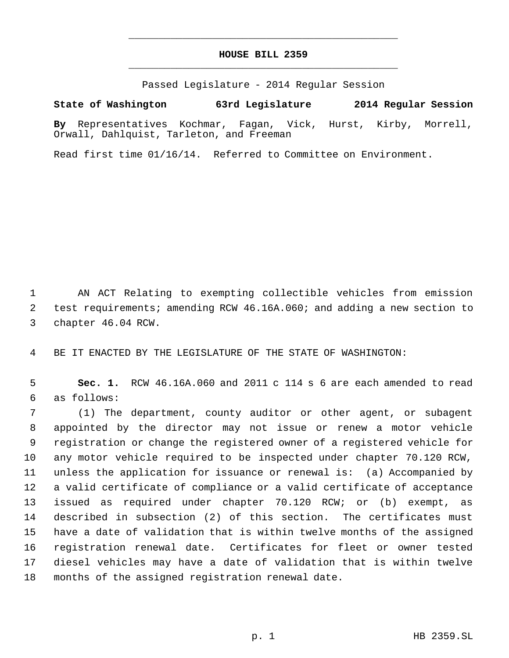## **HOUSE BILL 2359** \_\_\_\_\_\_\_\_\_\_\_\_\_\_\_\_\_\_\_\_\_\_\_\_\_\_\_\_\_\_\_\_\_\_\_\_\_\_\_\_\_\_\_\_\_

\_\_\_\_\_\_\_\_\_\_\_\_\_\_\_\_\_\_\_\_\_\_\_\_\_\_\_\_\_\_\_\_\_\_\_\_\_\_\_\_\_\_\_\_\_

Passed Legislature - 2014 Regular Session

## **State of Washington 63rd Legislature 2014 Regular Session**

**By** Representatives Kochmar, Fagan, Vick, Hurst, Kirby, Morrell, Orwall, Dahlquist, Tarleton, and Freeman

Read first time 01/16/14. Referred to Committee on Environment.

 AN ACT Relating to exempting collectible vehicles from emission test requirements; amending RCW 46.16A.060; and adding a new section to chapter 46.04 RCW.

BE IT ENACTED BY THE LEGISLATURE OF THE STATE OF WASHINGTON:

 **Sec. 1.** RCW 46.16A.060 and 2011 c 114 s 6 are each amended to read as follows:

 (1) The department, county auditor or other agent, or subagent appointed by the director may not issue or renew a motor vehicle registration or change the registered owner of a registered vehicle for any motor vehicle required to be inspected under chapter 70.120 RCW, unless the application for issuance or renewal is: (a) Accompanied by a valid certificate of compliance or a valid certificate of acceptance issued as required under chapter 70.120 RCW; or (b) exempt, as described in subsection (2) of this section. The certificates must have a date of validation that is within twelve months of the assigned registration renewal date. Certificates for fleet or owner tested diesel vehicles may have a date of validation that is within twelve months of the assigned registration renewal date.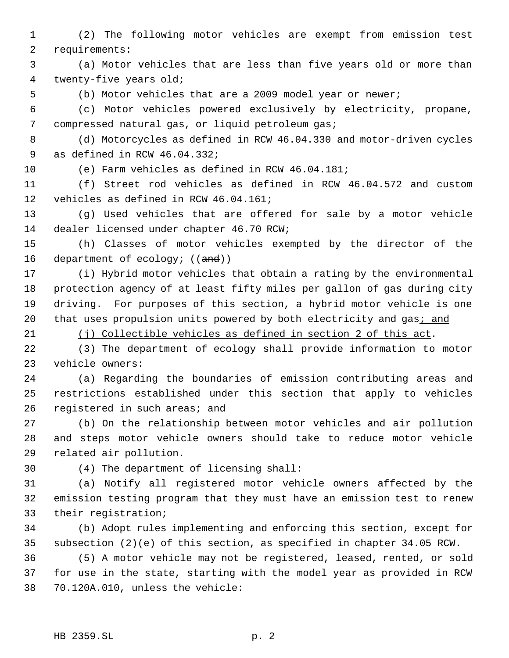(2) The following motor vehicles are exempt from emission test requirements:

 (a) Motor vehicles that are less than five years old or more than twenty-five years old;

(b) Motor vehicles that are a 2009 model year or newer;

 (c) Motor vehicles powered exclusively by electricity, propane, compressed natural gas, or liquid petroleum gas;

 (d) Motorcycles as defined in RCW 46.04.330 and motor-driven cycles as defined in RCW 46.04.332;

(e) Farm vehicles as defined in RCW 46.04.181;

 (f) Street rod vehicles as defined in RCW 46.04.572 and custom vehicles as defined in RCW 46.04.161;

 (g) Used vehicles that are offered for sale by a motor vehicle dealer licensed under chapter 46.70 RCW;

 (h) Classes of motor vehicles exempted by the director of the 16 department of ecology; ((and))

 (i) Hybrid motor vehicles that obtain a rating by the environmental protection agency of at least fifty miles per gallon of gas during city driving. For purposes of this section, a hybrid motor vehicle is one 20 that uses propulsion units powered by both electricity and gas; and

(j) Collectible vehicles as defined in section 2 of this act.

 (3) The department of ecology shall provide information to motor vehicle owners:

 (a) Regarding the boundaries of emission contributing areas and restrictions established under this section that apply to vehicles 26 registered in such areas; and

 (b) On the relationship between motor vehicles and air pollution and steps motor vehicle owners should take to reduce motor vehicle related air pollution.

(4) The department of licensing shall:

 (a) Notify all registered motor vehicle owners affected by the emission testing program that they must have an emission test to renew their registration;

 (b) Adopt rules implementing and enforcing this section, except for subsection (2)(e) of this section, as specified in chapter 34.05 RCW.

 (5) A motor vehicle may not be registered, leased, rented, or sold for use in the state, starting with the model year as provided in RCW 70.120A.010, unless the vehicle: